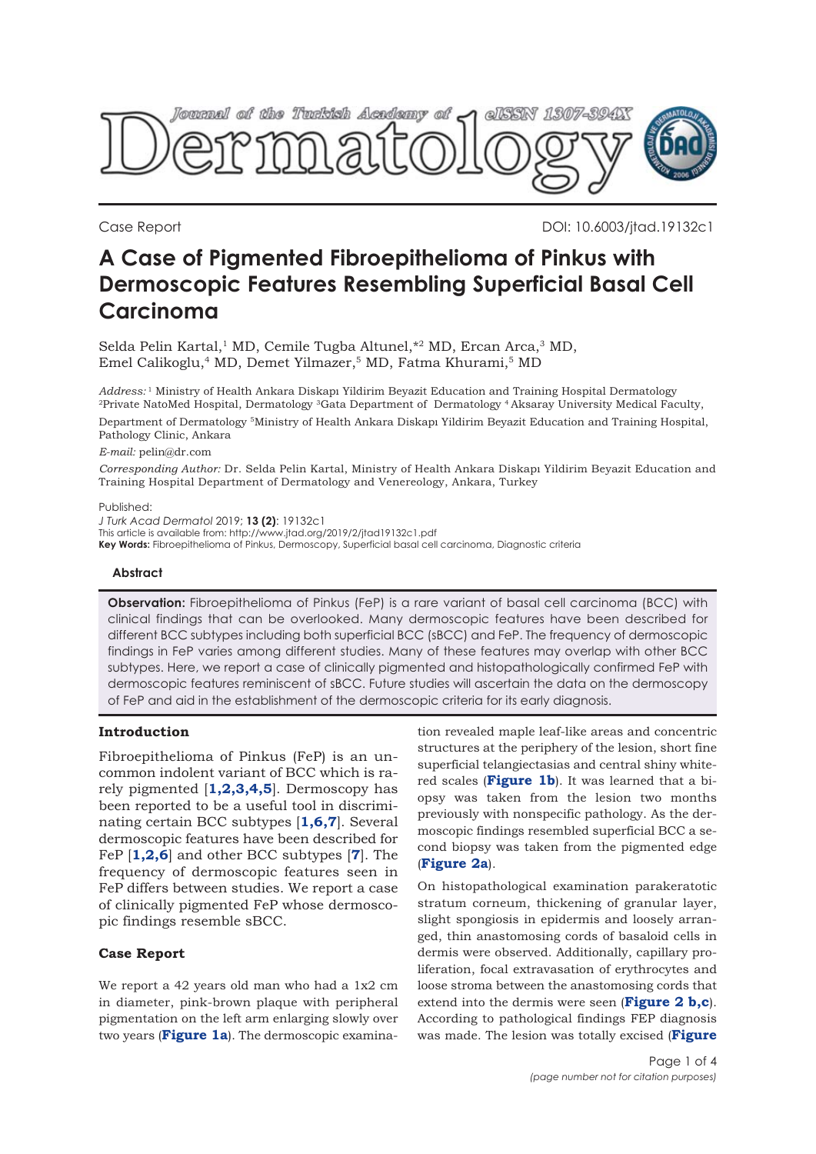

Case Report DOI: 10.6003/jtad.19132c1

# **A Case of Pigmented Fibroepithelioma of Pinkus with Dermoscopic Features Resembling Superficial Basal Cell Carcinoma**

Selda Pelin Kartal,<sup>1</sup> MD, Cemile Tugba Altunel,  $*$ <sup>2</sup> MD, Ercan Arca,<sup>3</sup> MD, Emel Calikoglu,<sup>4</sup> MD, Demet Yilmazer,<sup>5</sup> MD, Fatma Khurami,<sup>5</sup> MD

*Address:* <sup>1</sup> Ministry of Health Ankara Diskapı Yildirim Beyazit Education and Training Hospital Dermatology 2Private NatoMed Hospital, Dermatology 3Gata Department of Dermatology 4 Aksaray University Medical Faculty,

Department of Dermatology 5Ministry of Health Ankara Diskapı Yildirim Beyazit Education and Training Hospital, Pathology Clinic, Ankara

#### *E-mail:* pelin@dr.com

*Corresponding Author:* Dr. Selda Pelin Kartal, Ministry of Health Ankara Diskapı Yildirim Beyazit Education and Training Hospital Department of Dermatology and Venereology, Ankara, Turkey

#### Published:

*J Turk Acad Dermatol* 2019; **13 (2)**: 19132c1

This article is available from: http://www.jtad.org/2019/2/jtad19132c1.pdf

**Key Words:** Fibroepithelioma of Pinkus, Dermoscopy, Superficial basal cell carcinoma, Diagnostic criteria

### **Abstract**

**Observation:** Fibroepithelioma of Pinkus (FeP) is a rare variant of basal cell carcinoma (BCC) with clinical findings that can be overlooked. Many dermoscopic features have been described for different BCC subtypes including both superficial BCC (sBCC) and FeP. The frequency of dermoscopic findings in FeP varies among different studies. Many of these features may overlap with other BCC subtypes. Here, we report a case of clinically pigmented and histopathologically confirmed FeP with dermoscopic features reminiscent of sBCC. Future studies will ascertain the data on the dermoscopy of FeP and aid in the establishment of the dermoscopic criteria for its early diagnosis.

## **Introduction**

Fibroepithelioma of Pinkus (FeP) is an uncommon indolent variant of BCC which is rarely pigmented [**[1,2,3,4,5](#page-3-0)**]. Dermoscopy has been reported to be a useful tool in discriminating certain BCC subtypes [**[1,6,7](#page-3-0)**]. Several dermoscopic features have been described for FeP [**[1,2](#page-3-0)[,6](#page-2-0)**] and other BCC subtypes [**[7](#page-3-0)**]. The frequency of dermoscopic features seen in FeP differs between studies. We report a case of clinically pigmented FeP whose dermoscopic findings resemble sBCC.

## **Case Report**

We report a 42 years old man who had a 1x2 cm in diameter, pink-brown plaque with peripheral pigmentation on the left arm enlarging slowly over two years (**[Figure 1a](#page-1-0)**). The dermoscopic examination revealed maple leaf-like areas and concentric structures at the periphery of the lesion, short fine superficial telangiectasias and central shiny whitered scales (**[Figure 1b](#page-1-0)**). It was learned that a biopsy was taken from the lesion two months previously with nonspecific pathology. As the dermoscopic findings resembled superficial BCC a second biopsy was taken from the pigmented edge (**[Figure 2a](#page-1-0)**).

On histopathological examination parakeratotic stratum corneum, thickening of granular layer, slight spongiosis in epidermis and loosely arranged, thin anastomosing cords of basaloid cells in dermis were observed. Additionally, capillary proliferation, focal extravasation of erythrocytes and loose stroma between the anastomosing cords that extend into the dermis were seen (**[Figure 2 b,c](#page-1-0)**). According to pathological findings FEP diagnosis was made. The lesion was totally excised (**[Figure](#page-1-0)**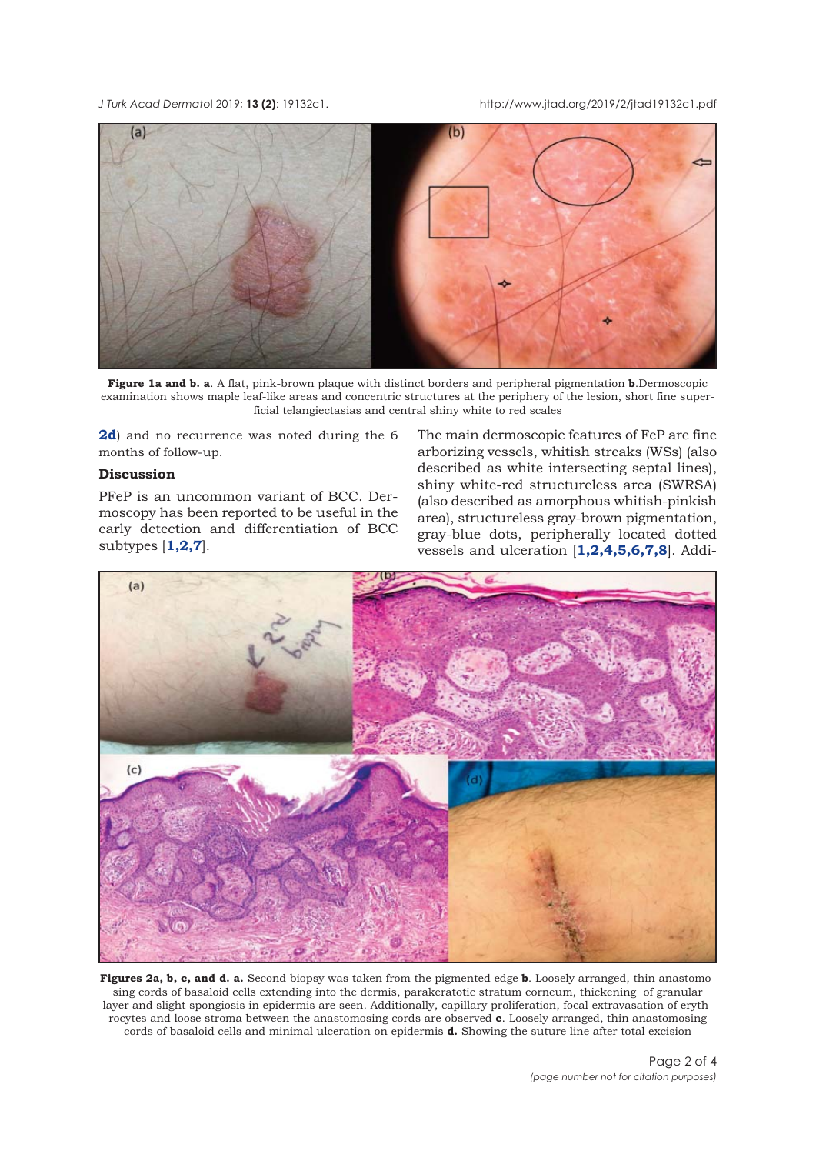<span id="page-1-0"></span>*J Turk Acad Dermato*l 2019; **13 (2)**: 19132c1. http://www.jtad.org/2019/2/jtad19132c1.pdf



**Figure 1a and b. a**. A flat, pink-brown plaque with distinct borders and peripheral pigmentation **b**.Dermoscopic examination shows maple leaf-like areas and concentric structures at the periphery of the lesion, short fine superficial telangiectasias and central shiny white to red scales

**2d**) and no recurrence was noted during the 6 months of follow-up.

## **Discussion**

PFeP is an uncommon variant of BCC. Dermoscopy has been reported to be useful in the early detection and differentiation of BCC subtypes [**[1,2,7](#page-3-0)**].

The main dermoscopic features of FeP are fine arborizing vessels, whitish streaks (WSs) (also described as white intersecting septal lines), shiny white-red structureless area (SWRSA) (also described as amorphous whitish-pinkish area), structureless gray-brown pigmentation, gray-blue dots, peripherally located dotted vessels and ulceration [**[1,2](#page-3-0),[4,5,6,7,8](#page-3-0)**]. Addi-



**Figures 2a, b, c, and d. a.** Second biopsy was taken from the pigmented edge **b**. Loosely arranged, thin anastomosing cords of basaloid cells extending into the dermis, parakeratotic stratum corneum, thickening of granular layer and slight spongiosis in epidermis are seen. Additionally, capillary proliferation, focal extravasation of erythrocytes and loose stroma between the anastomosing cords are observed **c**. Loosely arranged, thin anastomosing cords of basaloid cells and minimal ulceration on epidermis **d.** Showing the suture line after total excision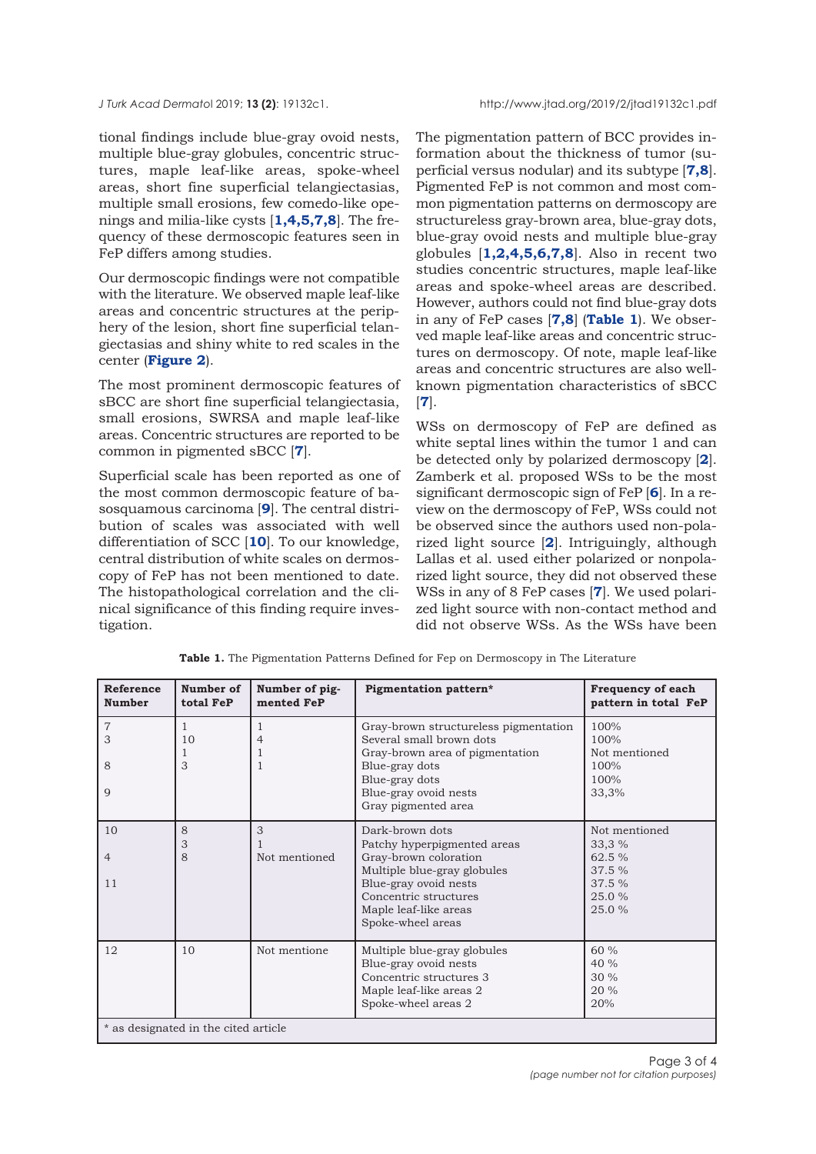<span id="page-2-0"></span>tional findings include blue-gray ovoid nests, multiple blue-gray globules, concentric structures, maple leaf-like areas, spoke-wheel areas, short fine superficial telangiectasias, multiple small erosions, few comedo-like openings and milia-like cysts [**[1](#page-3-0),[4,5,7,8](#page-3-0)**]. The frequency of these dermoscopic features seen in FeP differs among studies.

Our dermoscopic findings were not compatible with the literature. We observed maple leaf-like areas and concentric structures at the periphery of the lesion, short fine superficial telangiectasias and shiny white to red scales in the center (**[Figure 2](#page-1-0)**).

The most prominent dermoscopic features of sBCC are short fine superficial telangiectasia, small erosions, SWRSA and maple leaf-like areas. Concentric structures are reported to be common in pigmented sBCC [**[7](#page-3-0)**].

Superficial scale has been reported as one of the most common dermoscopic feature of basosquamous carcinoma [**[9](#page-3-0)**]. The central distribution of scales was associated with well differentiation of SCC [**[10](#page-3-0)**]. To our knowledge, central distribution of white scales on dermoscopy of FeP has not been mentioned to date. The histopathological correlation and the clinical significance of this finding require investigation.

The pigmentation pattern of BCC provides information about the thickness of tumor (superficial versus nodular) and its subtype [**[7,8](#page-3-0)**]. Pigmented FeP is not common and most common pigmentation patterns on dermoscopy are structureless gray-brown area, blue-gray dots, blue-gray ovoid nests and multiple blue-gray globules [**[1,2,4,5,6,7,8](#page-3-0)**]. Also in recent two studies concentric structures, maple leaf-like areas and spoke-wheel areas are described. However, authors could not find blue-gray dots in any of FeP cases [**[7,8](#page-3-0)**] (**Table 1**). We observed maple leaf-like areas and concentric structures on dermoscopy. Of note, maple leaf-like areas and concentric structures are also wellknown pigmentation characteristics of sBCC [**[7](#page-3-0)**].

WSs on dermoscopy of FeP are defined as white septal lines within the tumor 1 and can be detected only by polarized dermoscopy [**[2](#page-3-0)**]. Zamberk et al. proposed WSs to be the most significant dermoscopic sign of FeP [**[6](#page-3-0)**]. In a review on the dermoscopy of FeP, WSs could not be observed since the authors used non-polarized light source [**[2](#page-3-0)**]. Intriguingly, although Lallas et al. used either polarized or nonpolarized light source, they did not observed these WSs in any of 8 FeP cases [**[7](#page-3-0)**]. We used polarized light source with non-contact method and did not observe WSs. As the WSs have been

| <b>Reference</b><br><b>Number</b>    | Number of<br>total FeP  | Number of pig-<br>mented FeP | Pigmentation pattern*                                                                                                                                                                                  | <b>Frequency of each</b><br>pattern in total FeP                        |
|--------------------------------------|-------------------------|------------------------------|--------------------------------------------------------------------------------------------------------------------------------------------------------------------------------------------------------|-------------------------------------------------------------------------|
| $\overline{7}$<br>3<br>8<br>9        | $\mathbf{1}$<br>10<br>3 | 1<br>$\overline{4}$<br>-1    | Gray-brown structureless pigmentation<br>Several small brown dots<br>Gray-brown area of pigmentation<br>Blue-gray dots<br>Blue-gray dots<br>Blue-gray ovoid nests<br>Gray pigmented area               | 100%<br>100%<br>Not mentioned<br>100%<br>100%<br>33,3%                  |
| 10<br>$\overline{4}$<br>11           | 8<br>3<br>8             | 3<br>Not mentioned           | Dark-brown dots<br>Patchy hyperpigmented areas<br>Gray-brown coloration<br>Multiple blue-gray globules<br>Blue-gray ovoid nests<br>Concentric structures<br>Maple leaf-like areas<br>Spoke-wheel areas | Not mentioned<br>33,3 %<br>62.5 %<br>37.5 %<br>37.5 %<br>25.0%<br>25.0% |
| 12                                   | 10                      | Not mentione                 | Multiple blue-gray globules<br>Blue-gray ovoid nests<br>Concentric structures 3<br>Maple leaf-like areas 2<br>Spoke-wheel areas 2                                                                      | 60%<br>40 %<br>30 %<br>20%<br>20%                                       |
| * as designated in the cited article |                         |                              |                                                                                                                                                                                                        |                                                                         |

**Table 1.** The Pigmentation Patterns Defined for Fep on Dermoscopy in The Literature